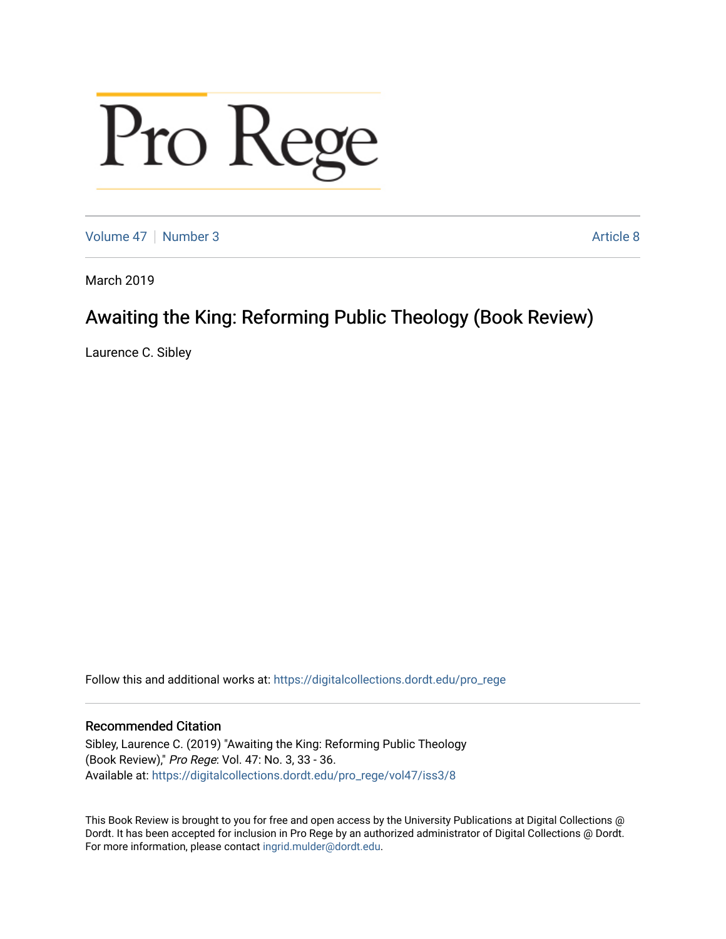# Pro Rege

[Volume 47](https://digitalcollections.dordt.edu/pro_rege/vol47) | [Number 3](https://digitalcollections.dordt.edu/pro_rege/vol47/iss3) Article 8

March 2019

# Awaiting the King: Reforming Public Theology (Book Review)

Laurence C. Sibley

Follow this and additional works at: [https://digitalcollections.dordt.edu/pro\\_rege](https://digitalcollections.dordt.edu/pro_rege?utm_source=digitalcollections.dordt.edu%2Fpro_rege%2Fvol47%2Fiss3%2F8&utm_medium=PDF&utm_campaign=PDFCoverPages) 

# Recommended Citation

Sibley, Laurence C. (2019) "Awaiting the King: Reforming Public Theology (Book Review)," Pro Rege: Vol. 47: No. 3, 33 - 36. Available at: [https://digitalcollections.dordt.edu/pro\\_rege/vol47/iss3/8](https://digitalcollections.dordt.edu/pro_rege/vol47/iss3/8?utm_source=digitalcollections.dordt.edu%2Fpro_rege%2Fvol47%2Fiss3%2F8&utm_medium=PDF&utm_campaign=PDFCoverPages) 

This Book Review is brought to you for free and open access by the University Publications at Digital Collections @ Dordt. It has been accepted for inclusion in Pro Rege by an authorized administrator of Digital Collections @ Dordt. For more information, please contact [ingrid.mulder@dordt.edu](mailto:ingrid.mulder@dordt.edu).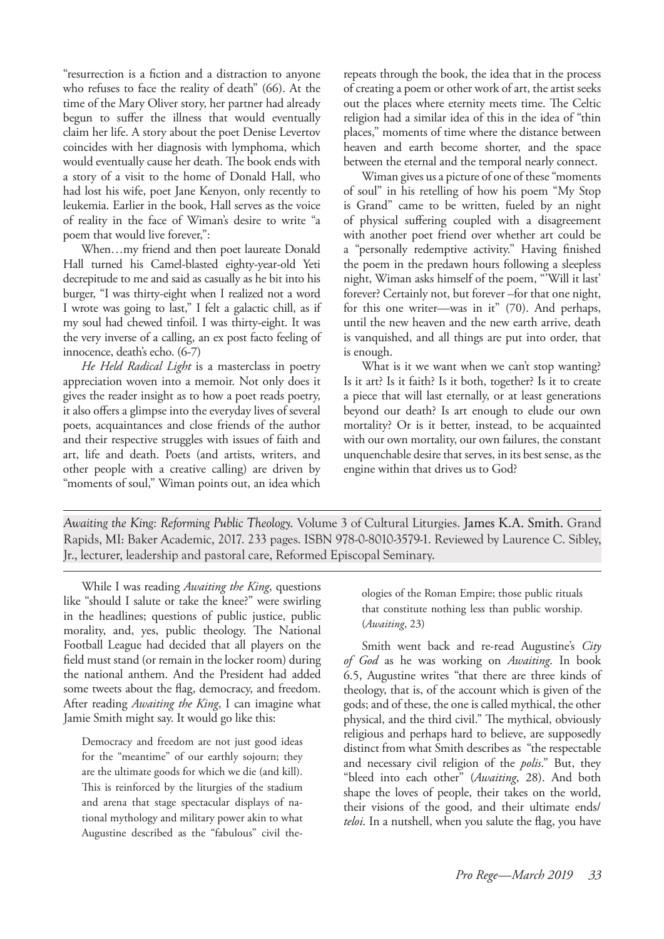"resurrection is a fiction and a distraction to anyone who refuses to face the reality of death" (66). At the time of the Mary Oliver story, her partner had already begun to suffer the illness that would eventually claim her life. A story about the poet Denise Levertov coincides with her diagnosis with lymphoma, which would eventually cause her death. The book ends with a story of a visit to the home of Donald Hall, who had lost his wife, poet Jane Kenyon, only recently to leukemia. Earlier in the book, Hall serves as the voice of reality in the face of Wiman's desire to write "a poem that would live forever,":

When…my friend and then poet laureate Donald Hall turned his Camel-blasted eighty-year-old Yeti decrepitude to me and said as casually as he bit into his burger, "I was thirty-eight when I realized not a word I wrote was going to last," I felt a galactic chill, as if my soul had chewed tinfoil. I was thirty-eight. It was the very inverse of a calling, an ex post facto feeling of innocence, death's echo. (6-7)

*He Held Radical Light* is a masterclass in poetry appreciation woven into a memoir. Not only does it gives the reader insight as to how a poet reads poetry, it also offers a glimpse into the everyday lives of several poets, acquaintances and close friends of the author and their respective struggles with issues of faith and art, life and death. Poets (and artists, writers, and other people with a creative calling) are driven by "moments of soul," Wiman points out, an idea which

repeats through the book, the idea that in the process of creating a poem or other work of art, the artist seeks out the places where eternity meets time. The Celtic religion had a similar idea of this in the idea of "thin places," moments of time where the distance between heaven and earth become shorter, and the space between the eternal and the temporal nearly connect.

Wiman gives us a picture of one of these "moments of soul" in his retelling of how his poem "My Stop is Grand" came to be written, fueled by an night of physical suffering coupled with a disagreement with another poet friend over whether art could be a "personally redemptive activity." Having finished the poem in the predawn hours following a sleepless night, Wiman asks himself of the poem, "'Will it last' forever? Certainly not, but forever –for that one night, for this one writer—was in it" (70). And perhaps, until the new heaven and the new earth arrive, death is vanquished, and all things are put into order, that is enough.

What is it we want when we can't stop wanting? Is it art? Is it faith? Is it both, together? Is it to create a piece that will last eternally, or at least generations beyond our death? Is art enough to elude our own mortality? Or is it better, instead, to be acquainted with our own mortality, our own failures, the constant unquenchable desire that serves, in its best sense, as the engine within that drives us to God?

*Awaiting the King: Reforming Public Theology.* Volume 3 of Cultural Liturgies. James K.A. Smith. Grand Rapids, MI: Baker Academic, 2017. 233 pages. ISBN 978-0-8010-3579-1. Reviewed by Laurence C. Sibley, Jr., lecturer, leadership and pastoral care, Reformed Episcopal Seminary.

While I was reading *Awaiting the King*, questions like "should I salute or take the knee?" were swirling in the headlines; questions of public justice, public morality, and, yes, public theology. The National Football League had decided that all players on the field must stand (or remain in the locker room) during the national anthem. And the President had added some tweets about the flag, democracy, and freedom. After reading *Awaiting the King*, I can imagine what Jamie Smith might say. It would go like this:

Democracy and freedom are not just good ideas for the "meantime" of our earthly sojourn; they are the ultimate goods for which we die (and kill). This is reinforced by the liturgies of the stadium and arena that stage spectacular displays of national mythology and military power akin to what Augustine described as the "fabulous" civil theologies of the Roman Empire; those public rituals that constitute nothing less than public worship. (*Awaiting*, 23)

Smith went back and re-read Augustine's *City of God* as he was working on *Awaiting*. In book 6.5, Augustine writes "that there are three kinds of theology, that is, of the account which is given of the gods; and of these, the one is called mythical, the other physical, and the third civil." The mythical, obviously religious and perhaps hard to believe, are supposedly distinct from what Smith describes as "the respectable and necessary civil religion of the *polis*." But, they "bleed into each other" (*Awaiting*, 28). And both shape the loves of people, their takes on the world, their visions of the good, and their ultimate ends/ *teloi*. In a nutshell, when you salute the flag, you have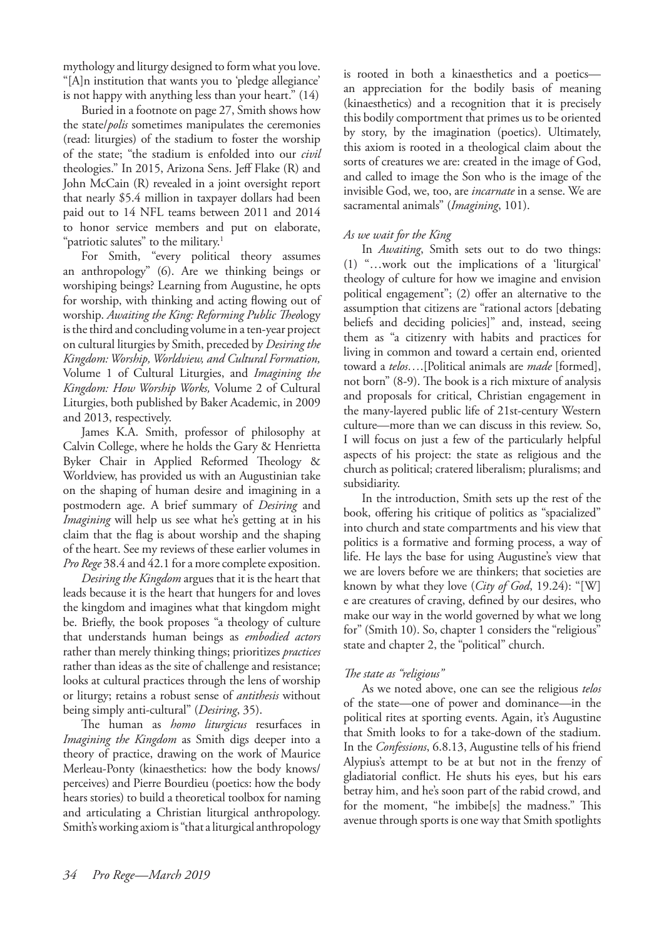mythology and liturgy designed to form what you love. "[A]n institution that wants you to 'pledge allegiance' is not happy with anything less than your heart." (14)

Buried in a footnote on page 27, Smith shows how the state/*polis* sometimes manipulates the ceremonies (read: liturgies) of the stadium to foster the worship of the state; "the stadium is enfolded into our *civil* theologies." In 2015, Arizona Sens. Jeff Flake (R) and John McCain (R) revealed in a joint oversight report that nearly \$5.4 million in taxpayer dollars had been paid out to 14 NFL teams between 2011 and 2014 to honor service members and put on elaborate, "patriotic salutes" to the military.<sup>1</sup>

For Smith, "every political theory assumes an anthropology" (6). Are we thinking beings or worshiping beings? Learning from Augustine, he opts for worship, with thinking and acting flowing out of worship. *Awaiting the King: Reforming Public Theo*logy is the third and concluding volume in a ten-year project on cultural liturgies by Smith, preceded by *Desiring the Kingdom: Worship, Worldview, and Cultural Formation,* Volume 1 of Cultural Liturgies, and *Imagining the Kingdom: How Worship Works,* Volume 2 of Cultural Liturgies, both published by Baker Academic, in 2009 and 2013, respectively.

James K.A. Smith, professor of philosophy at Calvin College, where he holds the Gary & Henrietta Byker Chair in Applied Reformed Theology & Worldview, has provided us with an Augustinian take on the shaping of human desire and imagining in a postmodern age. A brief summary of *Desiring* and *Imagining* will help us see what he's getting at in his claim that the flag is about worship and the shaping of the heart. See my reviews of these earlier volumes in *Pro Rege* 38.4 and 42.1 for a more complete exposition.

*Desiring the Kingdom* argues that it is the heart that leads because it is the heart that hungers for and loves the kingdom and imagines what that kingdom might be. Briefly, the book proposes "a theology of culture that understands human beings as *embodied actors*  rather than merely thinking things; prioritizes *practices* rather than ideas as the site of challenge and resistance; looks at cultural practices through the lens of worship or liturgy; retains a robust sense of *antithesis* without being simply anti-cultural" (*Desiring*, 35).

The human as *homo liturgicus* resurfaces in *Imagining the Kingdom* as Smith digs deeper into a theory of practice, drawing on the work of Maurice Merleau-Ponty (kinaesthetics: how the body knows/ perceives) and Pierre Bourdieu (poetics: how the body hears stories) to build a theoretical toolbox for naming and articulating a Christian liturgical anthropology. Smith's working axiom is "that a liturgical anthropology is rooted in both a kinaesthetics and a poetics an appreciation for the bodily basis of meaning (kinaesthetics) and a recognition that it is precisely this bodily comportment that primes us to be oriented by story, by the imagination (poetics). Ultimately, this axiom is rooted in a theological claim about the sorts of creatures we are: created in the image of God, and called to image the Son who is the image of the invisible God, we, too, are *incarnate* in a sense. We are sacramental animals" (*Imagining*, 101).

## *As we wait for the King*

In *Awaiting*, Smith sets out to do two things: (1) "…work out the implications of a 'liturgical' theology of culture for how we imagine and envision political engagement"; (2) offer an alternative to the assumption that citizens are "rational actors [debating beliefs and deciding policies]" and, instead, seeing them as "a citizenry with habits and practices for living in common and toward a certain end, oriented toward a *telos…*.[Political animals are *made* [formed], not born" (8-9). The book is a rich mixture of analysis and proposals for critical, Christian engagement in the many-layered public life of 21st-century Western culture—more than we can discuss in this review. So, I will focus on just a few of the particularly helpful aspects of his project: the state as religious and the church as political; cratered liberalism; pluralisms; and subsidiarity.

In the introduction, Smith sets up the rest of the book, offering his critique of politics as "spacialized" into church and state compartments and his view that politics is a formative and forming process, a way of life. He lays the base for using Augustine's view that we are lovers before we are thinkers; that societies are known by what they love (*City of God*, 19.24): "[W] e are creatures of craving, defined by our desires, who make our way in the world governed by what we long for" (Smith 10). So, chapter 1 considers the "religious" state and chapter 2, the "political" church.

### *The state as "religious"*

As we noted above, one can see the religious *telos* of the state—one of power and dominance—in the political rites at sporting events. Again, it's Augustine that Smith looks to for a take-down of the stadium. In the *Confessions*, 6.8.13, Augustine tells of his friend Alypius's attempt to be at but not in the frenzy of gladiatorial conflict. He shuts his eyes, but his ears betray him, and he's soon part of the rabid crowd, and for the moment, "he imbibe[s] the madness." This avenue through sports is one way that Smith spotlights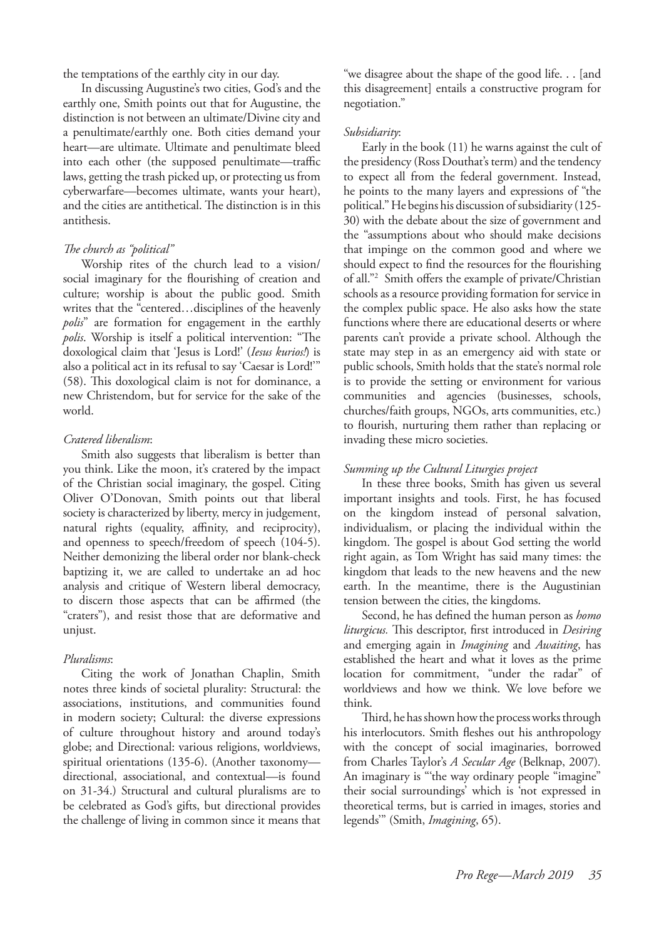the temptations of the earthly city in our day.

In discussing Augustine's two cities, God's and the earthly one, Smith points out that for Augustine, the distinction is not between an ultimate/Divine city and a penultimate/earthly one. Both cities demand your heart—are ultimate. Ultimate and penultimate bleed into each other (the supposed penultimate—traffic laws, getting the trash picked up, or protecting us from cyberwarfare—becomes ultimate, wants your heart), and the cities are antithetical. The distinction is in this antithesis.

#### *The church as "political"*

Worship rites of the church lead to a vision/ social imaginary for the flourishing of creation and culture; worship is about the public good. Smith writes that the "centered…disciplines of the heavenly *polis*" are formation for engagement in the earthly *polis*. Worship is itself a political intervention: "The doxological claim that 'Jesus is Lord!' (*Iesus kurios!*) is also a political act in its refusal to say 'Caesar is Lord!'" (58). This doxological claim is not for dominance, a new Christendom, but for service for the sake of the world.

#### *Cratered liberalism*:

Smith also suggests that liberalism is better than you think. Like the moon, it's cratered by the impact of the Christian social imaginary, the gospel. Citing Oliver O'Donovan, Smith points out that liberal society is characterized by liberty, mercy in judgement, natural rights (equality, affinity, and reciprocity), and openness to speech/freedom of speech (104-5). Neither demonizing the liberal order nor blank-check baptizing it, we are called to undertake an ad hoc analysis and critique of Western liberal democracy, to discern those aspects that can be affirmed (the "craters"), and resist those that are deformative and unjust.

#### *Pluralisms*:

Citing the work of Jonathan Chaplin, Smith notes three kinds of societal plurality: Structural: the associations, institutions, and communities found in modern society; Cultural: the diverse expressions of culture throughout history and around today's globe; and Directional: various religions, worldviews, spiritual orientations (135-6). (Another taxonomy directional, associational, and contextual—is found on 31-34.) Structural and cultural pluralisms are to be celebrated as God's gifts, but directional provides the challenge of living in common since it means that

"we disagree about the shape of the good life. . . [and this disagreement] entails a constructive program for negotiation."

#### *Subsidiarity*:

Early in the book (11) he warns against the cult of the presidency (Ross Douthat's term) and the tendency to expect all from the federal government. Instead, he points to the many layers and expressions of "the political." He begins his discussion of subsidiarity (125- 30) with the debate about the size of government and the "assumptions about who should make decisions that impinge on the common good and where we should expect to find the resources for the flourishing of all."2 Smith offers the example of private/Christian schools as a resource providing formation for service in the complex public space. He also asks how the state functions where there are educational deserts or where parents can't provide a private school. Although the state may step in as an emergency aid with state or public schools, Smith holds that the state's normal role is to provide the setting or environment for various communities and agencies (businesses, schools, churches/faith groups, NGOs, arts communities, etc.) to flourish, nurturing them rather than replacing or invading these micro societies.

#### *Summing up the Cultural Liturgies project*

In these three books, Smith has given us several important insights and tools. First, he has focused on the kingdom instead of personal salvation, individualism, or placing the individual within the kingdom. The gospel is about God setting the world right again, as Tom Wright has said many times: the kingdom that leads to the new heavens and the new earth. In the meantime, there is the Augustinian tension between the cities, the kingdoms.

Second, he has defined the human person as *homo liturgicus.* This descriptor, first introduced in *Desiring* and emerging again in *Imagining* and *Awaiting*, has established the heart and what it loves as the prime location for commitment, "under the radar" of worldviews and how we think. We love before we think.

Third, he has shown how the process works through his interlocutors. Smith fleshes out his anthropology with the concept of social imaginaries, borrowed from Charles Taylor's *A Secular Age* (Belknap, 2007)*.* An imaginary is "'the way ordinary people "imagine" their social surroundings' which is 'not expressed in theoretical terms, but is carried in images, stories and legends'" (Smith, *Imagining*, 65).